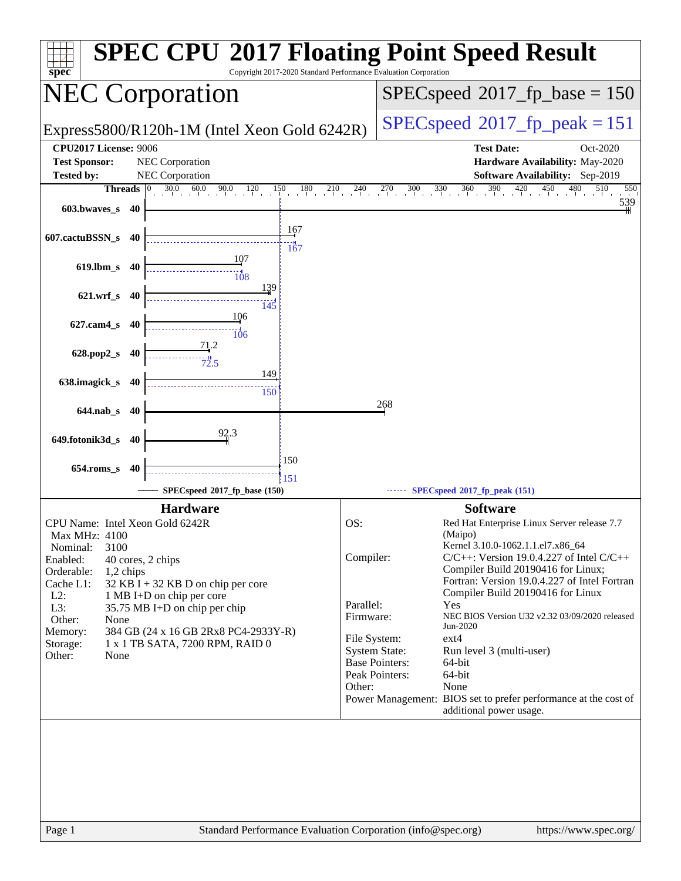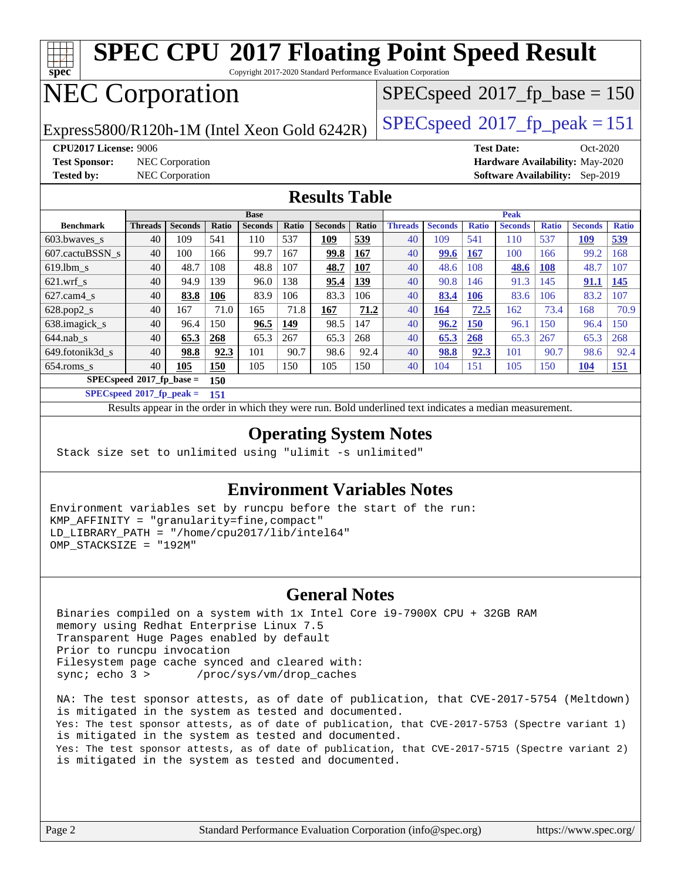| <b>SPEC CPU®2017 Floating Point Speed Result</b><br>spec<br>Copyright 2017-2020 Standard Performance Evaluation Corporation |                                                                       |                       |                     |                       |                     |                       |              |                                         |                       |                     |                       |                     |                       |              |
|-----------------------------------------------------------------------------------------------------------------------------|-----------------------------------------------------------------------|-----------------------|---------------------|-----------------------|---------------------|-----------------------|--------------|-----------------------------------------|-----------------------|---------------------|-----------------------|---------------------|-----------------------|--------------|
| <b>NEC Corporation</b>                                                                                                      |                                                                       |                       |                     |                       |                     |                       |              | $SPEC speed^{\circ}2017$ _fp_base = 150 |                       |                     |                       |                     |                       |              |
| Express5800/R120h-1M (Intel Xeon Gold 6242R)                                                                                |                                                                       |                       |                     |                       |                     |                       |              | $SPEC speed^{\circ}2017$ _fp_peak = 151 |                       |                     |                       |                     |                       |              |
| <b>CPU2017 License: 9006</b><br><b>Test Date:</b><br>$Oct-2020$                                                             |                                                                       |                       |                     |                       |                     |                       |              |                                         |                       |                     |                       |                     |                       |              |
| <b>Test Sponsor:</b><br>NEC Corporation<br>Hardware Availability: May-2020                                                  |                                                                       |                       |                     |                       |                     |                       |              |                                         |                       |                     |                       |                     |                       |              |
| <b>Tested by:</b>                                                                                                           | <b>NEC</b> Corporation<br><b>Software Availability:</b><br>$Sep-2019$ |                       |                     |                       |                     |                       |              |                                         |                       |                     |                       |                     |                       |              |
| <b>Results Table</b>                                                                                                        |                                                                       |                       |                     |                       |                     |                       |              |                                         |                       |                     |                       |                     |                       |              |
|                                                                                                                             | <b>Base</b>                                                           |                       |                     |                       |                     | Peak                  |              |                                         |                       |                     |                       |                     |                       |              |
| <b>Benchmark</b>                                                                                                            | <b>Threads</b><br>40                                                  | <b>Seconds</b><br>109 | <b>Ratio</b><br>541 | <b>Seconds</b><br>110 | <b>Ratio</b><br>537 | <b>Seconds</b><br>109 | Ratio<br>539 | <b>Threads</b><br>40                    | <b>Seconds</b><br>109 | <b>Ratio</b><br>541 | <b>Seconds</b><br>110 | <b>Ratio</b><br>537 | <b>Seconds</b><br>109 | <b>Ratio</b> |
| 603.bwaves_s                                                                                                                | 40                                                                    | 100                   | 166                 | 99.7                  |                     |                       |              | 40                                      |                       |                     | 100                   |                     | 99.2                  | 539<br>168   |
| 607.cactuBSSN s                                                                                                             |                                                                       |                       |                     |                       | 167                 | 99.8                  | 167          |                                         | 99.6                  | <b>167</b>          |                       | 166                 |                       |              |
| $619.1$ bm s                                                                                                                | 40                                                                    | 48.7<br>94.9          | 108<br>139          | 48.8                  | 107<br>138          | 48.7                  | 107          | 40                                      | 48.6                  | 108<br>146          | 48.6                  | <b>108</b><br>145   | 48.7                  | 107          |
| $621.wrf$ s                                                                                                                 | 40                                                                    |                       |                     | 96.0<br>83.9          |                     | 95.4<br>83.3          | 139          | 40                                      | 90.8                  |                     | 91.3<br>83.6          |                     | 91.1<br>83.2          | 145<br>107   |
| $627$ .cam4 s                                                                                                               | 40<br>40                                                              | 83.8<br>167           | 106<br>71.0         | 165                   | 106<br>71.8         |                       | 106          | 40<br>40                                | 83.4<br>164           | <b>106</b>          | 162                   | 106<br>73.4         | 168                   | 70.9         |
| $628.pop2_s$                                                                                                                | 40                                                                    | 96.4                  | 150                 |                       | 149                 | 167<br>98.5           | 71.2<br>147  | 40                                      |                       | 72.5                | 96.1                  | 150                 | 96.4                  | 150          |
| 638.imagick_s                                                                                                               |                                                                       |                       |                     | 96.5                  |                     |                       |              |                                         | 96.2                  | <b>150</b>          |                       |                     |                       |              |
| $644$ .nab s                                                                                                                | 40                                                                    | 65.3                  | 268                 | 65.3                  | 267                 | 65.3                  | 268          | 40                                      | 65.3                  | 268                 | 65.3                  | 267                 | 65.3                  | 268          |
| 649.fotonik3d s                                                                                                             | 40                                                                    | 98.8                  | 92.3                | 101                   | 90.7                | 98.6                  | 92.4         | 40                                      | 98.8                  | 92.3                | 101                   | 90.7                | 98.6                  | 92.4         |
| 150<br>$654$ .roms s<br>40<br>105<br>105<br>150<br>105<br>150<br>151<br>151<br>40<br>104<br>105<br>150<br>104               |                                                                       |                       |                     |                       |                     |                       |              |                                         |                       |                     |                       |                     |                       |              |
| $SPECspeed*2017_fp\_base =$<br>150                                                                                          |                                                                       |                       |                     |                       |                     |                       |              |                                         |                       |                     |                       |                     |                       |              |
|                                                                                                                             | $SPECspeed*2017$ fp peak =<br>151                                     |                       |                     |                       |                     |                       |              |                                         |                       |                     |                       |                     |                       |              |
| Results appear in the order in which they were run. Bold underlined text indicates a median measurement.                    |                                                                       |                       |                     |                       |                     |                       |              |                                         |                       |                     |                       |                     |                       |              |

#### **[Operating System Notes](http://www.spec.org/auto/cpu2017/Docs/result-fields.html#OperatingSystemNotes)**

Stack size set to unlimited using "ulimit -s unlimited"

#### **[Environment Variables Notes](http://www.spec.org/auto/cpu2017/Docs/result-fields.html#EnvironmentVariablesNotes)**

Environment variables set by runcpu before the start of the run: KMP\_AFFINITY = "granularity=fine,compact" LD\_LIBRARY\_PATH = "/home/cpu2017/lib/intel64" OMP\_STACKSIZE = "192M"

#### **[General Notes](http://www.spec.org/auto/cpu2017/Docs/result-fields.html#GeneralNotes)**

 Binaries compiled on a system with 1x Intel Core i9-7900X CPU + 32GB RAM memory using Redhat Enterprise Linux 7.5 Transparent Huge Pages enabled by default Prior to runcpu invocation Filesystem page cache synced and cleared with: sync; echo 3 > /proc/sys/vm/drop\_caches

 NA: The test sponsor attests, as of date of publication, that CVE-2017-5754 (Meltdown) is mitigated in the system as tested and documented. Yes: The test sponsor attests, as of date of publication, that CVE-2017-5753 (Spectre variant 1) is mitigated in the system as tested and documented. Yes: The test sponsor attests, as of date of publication, that CVE-2017-5715 (Spectre variant 2) is mitigated in the system as tested and documented.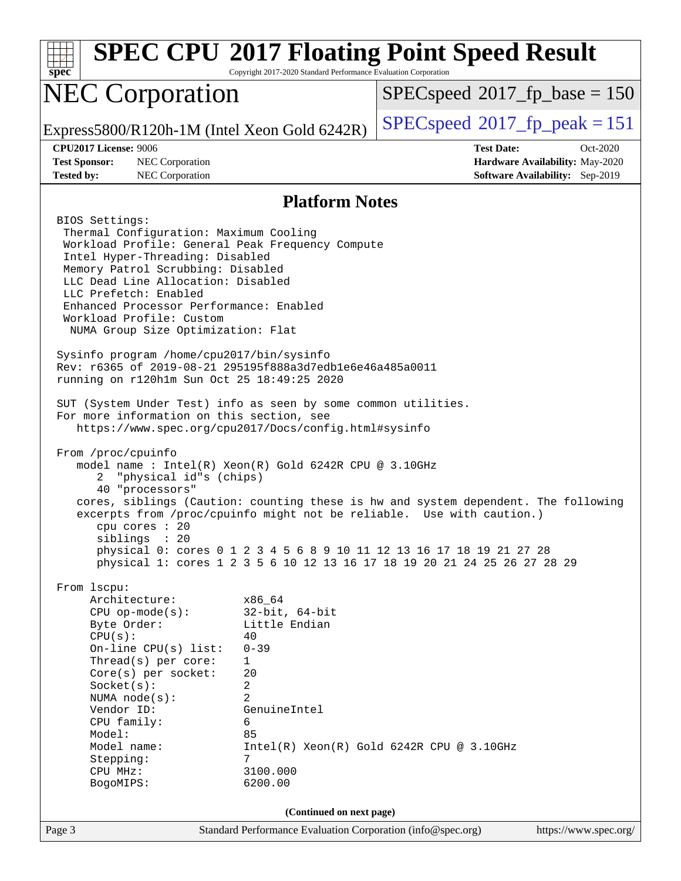| $spec^*$                                                                                                                                                                                                                                                                                                                                                                                                                                                                                                                                                                                                                                                                                                                                                                                                                                                                                                                                                                                                                                    | Copyright 2017-2020 Standard Performance Evaluation Corporation                                                                                                       | <b>SPEC CPU®2017 Floating Point Speed Result</b>                                                                                                 |                                                                                |  |  |  |
|---------------------------------------------------------------------------------------------------------------------------------------------------------------------------------------------------------------------------------------------------------------------------------------------------------------------------------------------------------------------------------------------------------------------------------------------------------------------------------------------------------------------------------------------------------------------------------------------------------------------------------------------------------------------------------------------------------------------------------------------------------------------------------------------------------------------------------------------------------------------------------------------------------------------------------------------------------------------------------------------------------------------------------------------|-----------------------------------------------------------------------------------------------------------------------------------------------------------------------|--------------------------------------------------------------------------------------------------------------------------------------------------|--------------------------------------------------------------------------------|--|--|--|
| <b>NEC Corporation</b>                                                                                                                                                                                                                                                                                                                                                                                                                                                                                                                                                                                                                                                                                                                                                                                                                                                                                                                                                                                                                      |                                                                                                                                                                       | $SPEC speed^{\circ}2017\_fp\_base = 150$                                                                                                         |                                                                                |  |  |  |
| Express5800/R120h-1M (Intel Xeon Gold 6242R)                                                                                                                                                                                                                                                                                                                                                                                                                                                                                                                                                                                                                                                                                                                                                                                                                                                                                                                                                                                                |                                                                                                                                                                       | $SPEC speed^{\circ}2017$ [p_peak = 151                                                                                                           |                                                                                |  |  |  |
| <b>CPU2017 License: 9006</b><br><b>Test Sponsor:</b><br>NEC Corporation<br><b>Tested by:</b><br>NEC Corporation                                                                                                                                                                                                                                                                                                                                                                                                                                                                                                                                                                                                                                                                                                                                                                                                                                                                                                                             |                                                                                                                                                                       | <b>Test Date:</b>                                                                                                                                | Oct-2020<br>Hardware Availability: May-2020<br>Software Availability: Sep-2019 |  |  |  |
| <b>Platform Notes</b>                                                                                                                                                                                                                                                                                                                                                                                                                                                                                                                                                                                                                                                                                                                                                                                                                                                                                                                                                                                                                       |                                                                                                                                                                       |                                                                                                                                                  |                                                                                |  |  |  |
| BIOS Settings:<br>Thermal Configuration: Maximum Cooling<br>Workload Profile: General Peak Frequency Compute<br>Intel Hyper-Threading: Disabled<br>Memory Patrol Scrubbing: Disabled<br>LLC Dead Line Allocation: Disabled<br>LLC Prefetch: Enabled<br>Enhanced Processor Performance: Enabled<br>Workload Profile: Custom<br>NUMA Group Size Optimization: Flat<br>Sysinfo program /home/cpu2017/bin/sysinfo<br>Rev: r6365 of 2019-08-21 295195f888a3d7edble6e46a485a0011<br>running on r120h1m Sun Oct 25 18:49:25 2020<br>SUT (System Under Test) info as seen by some common utilities.<br>For more information on this section, see<br>https://www.spec.org/cpu2017/Docs/config.html#sysinfo<br>From /proc/cpuinfo<br>model name: $Intel(R)$ Xeon $(R)$ Gold 6242R CPU @ 3.10GHz<br>"physical id"s (chips)<br>2<br>40 "processors"<br>cores, siblings (Caution: counting these is hw and system dependent. The following<br>excerpts from /proc/cpuinfo might not be reliable. Use with caution.)<br>cpu cores $: 20$<br>siblings : 20 |                                                                                                                                                                       | physical 0: cores 0 1 2 3 4 5 6 8 9 10 11 12 13 16 17 18 19 21 27 28<br>physical 1: cores 1 2 3 5 6 10 12 13 16 17 18 19 20 21 24 25 26 27 28 29 |                                                                                |  |  |  |
| From lscpu:<br>Architecture:<br>$CPU$ op-mode( $s$ ):<br>Byte Order:<br>CPU(s):<br>On-line CPU(s) list:<br>Thread( $s$ ) per core:<br>Core(s) per socket:<br>Socket(s):<br>NUMA node(s):<br>Vendor ID:<br>CPU family:<br>Model:<br>Model name:<br>Stepping:<br>CPU MHz:<br>BogoMIPS:                                                                                                                                                                                                                                                                                                                                                                                                                                                                                                                                                                                                                                                                                                                                                        | x86 64<br>$32$ -bit, $64$ -bit<br>Little Endian<br>40<br>$0 - 39$<br>$\mathbf{1}$<br>20<br>2<br>$\overline{2}$<br>GenuineIntel<br>6<br>85<br>7<br>3100.000<br>6200.00 | $Intel(R) Xeon(R) Gold 6242R CPU @ 3.10GHz$                                                                                                      |                                                                                |  |  |  |
| Page 3                                                                                                                                                                                                                                                                                                                                                                                                                                                                                                                                                                                                                                                                                                                                                                                                                                                                                                                                                                                                                                      | (Continued on next page)<br>Standard Performance Evaluation Corporation (info@spec.org)                                                                               |                                                                                                                                                  | https://www.spec.org/                                                          |  |  |  |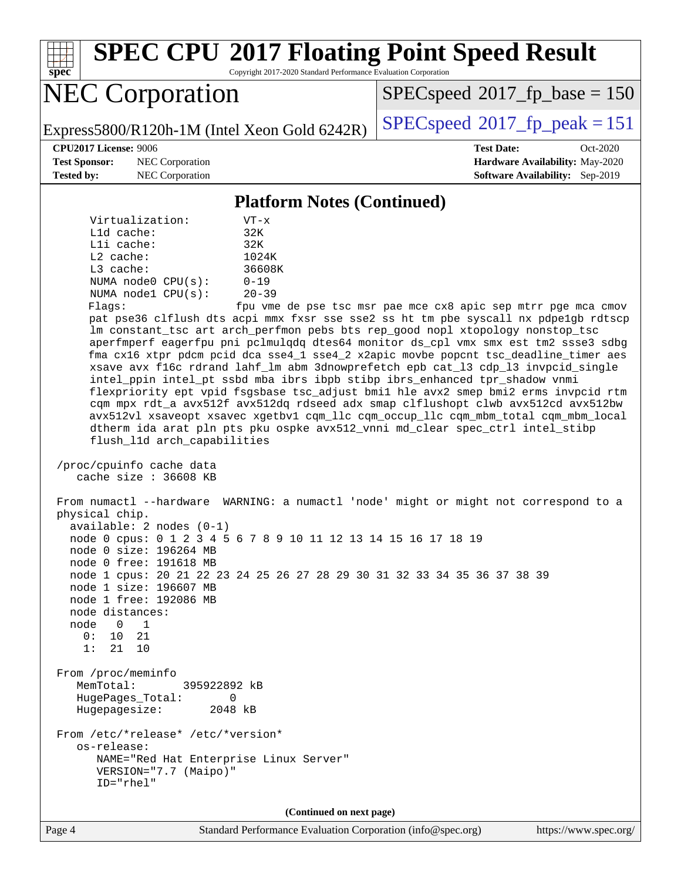**[spec](http://www.spec.org/) [SPEC CPU](http://www.spec.org/auto/cpu2017/Docs/result-fields.html#SPECCPU2017FloatingPointSpeedResult)[2017 Floating Point Speed Result](http://www.spec.org/auto/cpu2017/Docs/result-fields.html#SPECCPU2017FloatingPointSpeedResult)** Copyright 2017-2020 Standard Performance Evaluation Corporation NEC Corporation Express5800/R120h-1M (Intel Xeon Gold 6242R)  $\left|$  [SPECspeed](http://www.spec.org/auto/cpu2017/Docs/result-fields.html#SPECspeed2017fppeak)®[2017\\_fp\\_peak = 1](http://www.spec.org/auto/cpu2017/Docs/result-fields.html#SPECspeed2017fppeak)51 [SPECspeed](http://www.spec.org/auto/cpu2017/Docs/result-fields.html#SPECspeed2017fpbase)<sup>®</sup>2017 fp base = 150 **[CPU2017 License:](http://www.spec.org/auto/cpu2017/Docs/result-fields.html#CPU2017License)** 9006 **[Test Date:](http://www.spec.org/auto/cpu2017/Docs/result-fields.html#TestDate)** Oct-2020 **[Test Sponsor:](http://www.spec.org/auto/cpu2017/Docs/result-fields.html#TestSponsor)** NEC Corporation **[Hardware Availability:](http://www.spec.org/auto/cpu2017/Docs/result-fields.html#HardwareAvailability)** May-2020 **[Tested by:](http://www.spec.org/auto/cpu2017/Docs/result-fields.html#Testedby)** NEC Corporation **[Software Availability:](http://www.spec.org/auto/cpu2017/Docs/result-fields.html#SoftwareAvailability)** Sep-2019 **[Platform Notes \(Continued\)](http://www.spec.org/auto/cpu2017/Docs/result-fields.html#PlatformNotes)** Virtualization: VT-x L1d cache: 32K L1i cache: 32K L2 cache: 1024K L3 cache: 36608K NUMA node0 CPU(s): 0-19 NUMA node1 CPU(s): 20-39 Flags: fpu vme de pse tsc msr pae mce cx8 apic sep mtrr pge mca cmov pat pse36 clflush dts acpi mmx fxsr sse sse2 ss ht tm pbe syscall nx pdpe1gb rdtscp lm constant\_tsc art arch\_perfmon pebs bts rep\_good nopl xtopology nonstop\_tsc aperfmperf eagerfpu pni pclmulqdq dtes64 monitor ds\_cpl vmx smx est tm2 ssse3 sdbg fma cx16 xtpr pdcm pcid dca sse4\_1 sse4\_2 x2apic movbe popcnt tsc\_deadline\_timer aes xsave avx f16c rdrand lahf\_lm abm 3dnowprefetch epb cat\_l3 cdp\_l3 invpcid\_single intel\_ppin intel\_pt ssbd mba ibrs ibpb stibp ibrs\_enhanced tpr\_shadow vnmi flexpriority ept vpid fsgsbase tsc\_adjust bmi1 hle avx2 smep bmi2 erms invpcid rtm cqm mpx rdt\_a avx512f avx512dq rdseed adx smap clflushopt clwb avx512cd avx512bw avx512vl xsaveopt xsavec xgetbv1 cqm\_llc cqm\_occup\_llc cqm\_mbm\_total cqm\_mbm\_local dtherm ida arat pln pts pku ospke avx512\_vnni md\_clear spec\_ctrl intel\_stibp flush\_l1d arch\_capabilities /proc/cpuinfo cache data cache size : 36608 KB From numactl --hardware WARNING: a numactl 'node' might or might not correspond to a physical chip. available: 2 nodes (0-1) node 0 cpus: 0 1 2 3 4 5 6 7 8 9 10 11 12 13 14 15 16 17 18 19 node 0 size: 196264 MB node 0 free: 191618 MB node 1 cpus: 20 21 22 23 24 25 26 27 28 29 30 31 32 33 34 35 36 37 38 39 node 1 size: 196607 MB node 1 free: 192086 MB node distances: node 0 1 0: 10 21 1: 21 10 From /proc/meminfo MemTotal: 395922892 kB HugePages\_Total: 0 Hugepagesize: 2048 kB From /etc/\*release\* /etc/\*version\* os-release: NAME="Red Hat Enterprise Linux Server" VERSION="7.7 (Maipo)" ID="rhel"

**(Continued on next page)**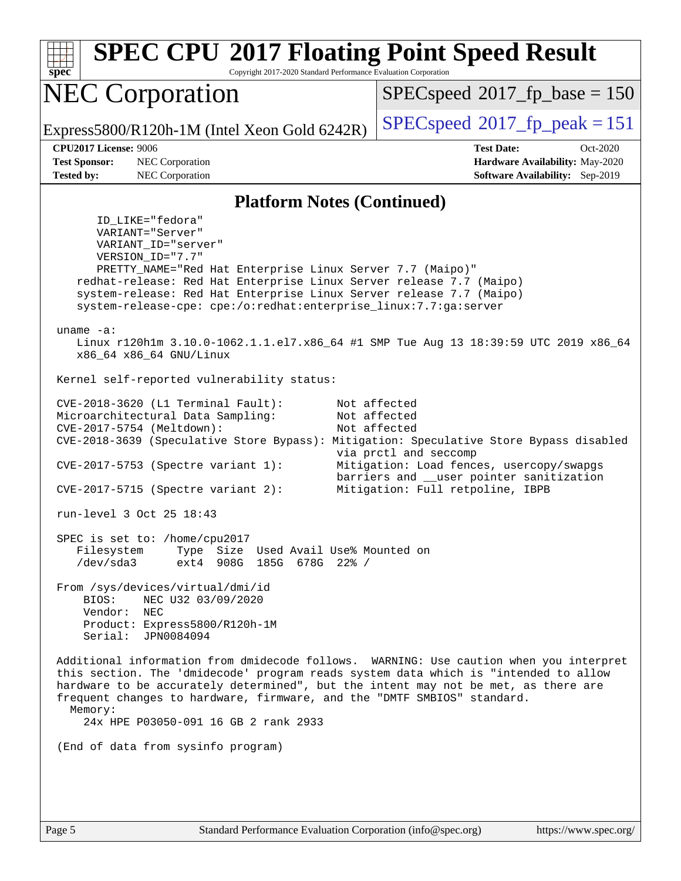| spec <sup>®</sup>                                                                                                                                                                                                                                                                                                                                                                                                                                                                                                                                                                                                                                                                                                                                                                                                                                                                                                                                                                                                                                                                                                                                                                                                                                                                                                                                                                                                                                                                                                                                                                                                                                                                                                                                                                                                                                         | <b>SPEC CPU®2017 Floating Point Speed Result</b><br>Copyright 2017-2020 Standard Performance Evaluation Corporation |                                          |  |  |  |  |
|-----------------------------------------------------------------------------------------------------------------------------------------------------------------------------------------------------------------------------------------------------------------------------------------------------------------------------------------------------------------------------------------------------------------------------------------------------------------------------------------------------------------------------------------------------------------------------------------------------------------------------------------------------------------------------------------------------------------------------------------------------------------------------------------------------------------------------------------------------------------------------------------------------------------------------------------------------------------------------------------------------------------------------------------------------------------------------------------------------------------------------------------------------------------------------------------------------------------------------------------------------------------------------------------------------------------------------------------------------------------------------------------------------------------------------------------------------------------------------------------------------------------------------------------------------------------------------------------------------------------------------------------------------------------------------------------------------------------------------------------------------------------------------------------------------------------------------------------------------------|---------------------------------------------------------------------------------------------------------------------|------------------------------------------|--|--|--|--|
|                                                                                                                                                                                                                                                                                                                                                                                                                                                                                                                                                                                                                                                                                                                                                                                                                                                                                                                                                                                                                                                                                                                                                                                                                                                                                                                                                                                                                                                                                                                                                                                                                                                                                                                                                                                                                                                           | <b>NEC Corporation</b>                                                                                              | $SPEC speed^{\circ}2017\_fp\_base = 150$ |  |  |  |  |
|                                                                                                                                                                                                                                                                                                                                                                                                                                                                                                                                                                                                                                                                                                                                                                                                                                                                                                                                                                                                                                                                                                                                                                                                                                                                                                                                                                                                                                                                                                                                                                                                                                                                                                                                                                                                                                                           | Express5800/R120h-1M (Intel Xeon Gold 6242R)                                                                        | $SPEC speed^{\circ}2017$ [p_peak = 151   |  |  |  |  |
|                                                                                                                                                                                                                                                                                                                                                                                                                                                                                                                                                                                                                                                                                                                                                                                                                                                                                                                                                                                                                                                                                                                                                                                                                                                                                                                                                                                                                                                                                                                                                                                                                                                                                                                                                                                                                                                           | CPU2017 License: 9006                                                                                               | <b>Test Date:</b><br>Oct-2020            |  |  |  |  |
|                                                                                                                                                                                                                                                                                                                                                                                                                                                                                                                                                                                                                                                                                                                                                                                                                                                                                                                                                                                                                                                                                                                                                                                                                                                                                                                                                                                                                                                                                                                                                                                                                                                                                                                                                                                                                                                           | NEC Corporation                                                                                                     | Hardware Availability: May-2020          |  |  |  |  |
|                                                                                                                                                                                                                                                                                                                                                                                                                                                                                                                                                                                                                                                                                                                                                                                                                                                                                                                                                                                                                                                                                                                                                                                                                                                                                                                                                                                                                                                                                                                                                                                                                                                                                                                                                                                                                                                           |                                                                                                                     |                                          |  |  |  |  |
| <b>Test Sponsor:</b><br><b>Tested by:</b><br>NEC Corporation<br><b>Software Availability:</b> Sep-2019<br><b>Platform Notes (Continued)</b><br>ID LIKE="fedora"<br>VARIANT="Server"<br>VARIANT_ID="server"<br>VERSION_ID="7.7"<br>PRETTY_NAME="Red Hat Enterprise Linux Server 7.7 (Maipo)"<br>redhat-release: Red Hat Enterprise Linux Server release 7.7 (Maipo)<br>system-release: Red Hat Enterprise Linux Server release 7.7 (Maipo)<br>system-release-cpe: cpe:/o:redhat:enterprise_linux:7.7:ga:server<br>uname $-a$ :<br>Linux r120hlm 3.10.0-1062.1.1.el7.x86_64 #1 SMP Tue Aug 13 18:39:59 UTC 2019 x86_64<br>x86_64 x86_64 GNU/Linux<br>Kernel self-reported vulnerability status:<br>CVE-2018-3620 (L1 Terminal Fault):<br>Not affected<br>Microarchitectural Data Sampling:<br>Not affected<br>Not affected<br>CVE-2017-5754 (Meltdown):<br>CVE-2018-3639 (Speculative Store Bypass): Mitigation: Speculative Store Bypass disabled<br>via prctl and seccomp<br>CVE-2017-5753 (Spectre variant 1):<br>Mitigation: Load fences, usercopy/swapgs<br>barriers and __user pointer sanitization<br>Mitigation: Full retpoline, IBPB<br>$CVE-2017-5715$ (Spectre variant 2):<br>run-level 3 Oct 25 18:43<br>SPEC is set to: /home/cpu2017<br>Type Size Used Avail Use% Mounted on<br>Filesystem<br>ext4 908G 185G 678G 22% /<br>/dev/sda3<br>From /sys/devices/virtual/dmi/id<br>BIOS:<br>NEC U32 03/09/2020<br>Vendor:<br>NEC<br>Product: Express5800/R120h-1M<br>Serial: JPN0084094<br>Additional information from dmidecode follows. WARNING: Use caution when you interpret<br>this section. The 'dmidecode' program reads system data which is "intended to allow<br>hardware to be accurately determined", but the intent may not be met, as there are<br>frequent changes to hardware, firmware, and the "DMTF SMBIOS" standard.<br>Memory: |                                                                                                                     |                                          |  |  |  |  |
|                                                                                                                                                                                                                                                                                                                                                                                                                                                                                                                                                                                                                                                                                                                                                                                                                                                                                                                                                                                                                                                                                                                                                                                                                                                                                                                                                                                                                                                                                                                                                                                                                                                                                                                                                                                                                                                           |                                                                                                                     |                                          |  |  |  |  |
|                                                                                                                                                                                                                                                                                                                                                                                                                                                                                                                                                                                                                                                                                                                                                                                                                                                                                                                                                                                                                                                                                                                                                                                                                                                                                                                                                                                                                                                                                                                                                                                                                                                                                                                                                                                                                                                           |                                                                                                                     |                                          |  |  |  |  |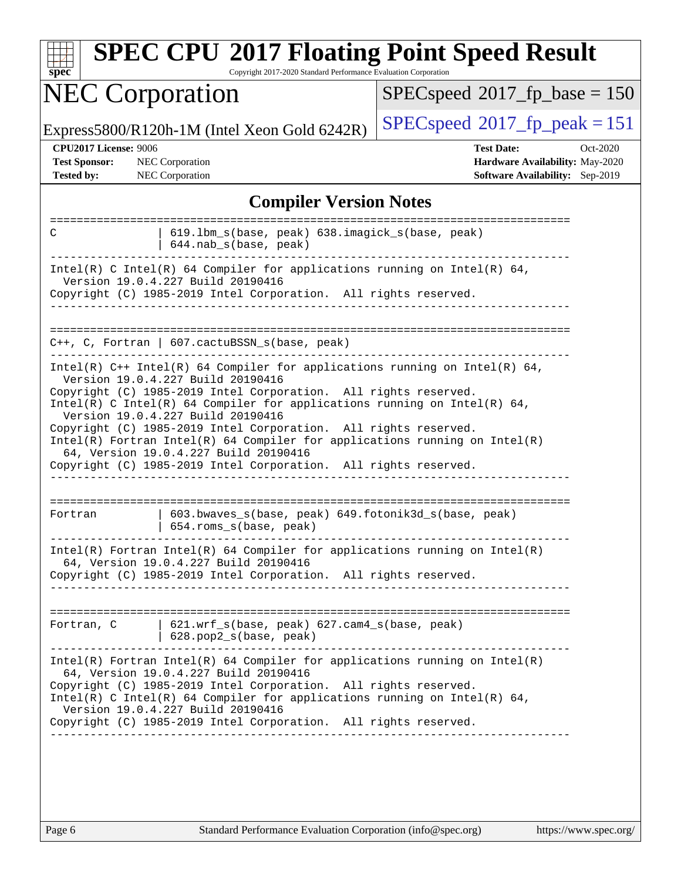| Copyright 2017-2020 Standard Performance Evaluation Corporation<br>$spec^*$                                                                                                              |                                                                                                     |  |  |  |  |  |
|------------------------------------------------------------------------------------------------------------------------------------------------------------------------------------------|-----------------------------------------------------------------------------------------------------|--|--|--|--|--|
| <b>NEC Corporation</b>                                                                                                                                                                   | $SPEC speed^{\circ}2017$ fp base = 150                                                              |  |  |  |  |  |
| Express5800/R120h-1M (Intel Xeon Gold 6242R)                                                                                                                                             | $SPEC speed^{\circ}2017$ _fp_peak = 151                                                             |  |  |  |  |  |
| <b>CPU2017 License: 9006</b><br><b>Test Sponsor:</b><br><b>NEC</b> Corporation<br><b>Tested by:</b><br><b>NEC</b> Corporation                                                            | <b>Test Date:</b><br>Oct-2020<br>Hardware Availability: May-2020<br>Software Availability: Sep-2019 |  |  |  |  |  |
| <b>Compiler Version Notes</b>                                                                                                                                                            |                                                                                                     |  |  |  |  |  |
| 619.1bm_s(base, peak) 638.imagick_s(base, peak)<br>C<br>644.nab_s(base, peak)                                                                                                            |                                                                                                     |  |  |  |  |  |
| Intel(R) C Intel(R) 64 Compiler for applications running on Intel(R) 64,<br>Version 19.0.4.227 Build 20190416<br>Copyright (C) 1985-2019 Intel Corporation. All rights reserved.         |                                                                                                     |  |  |  |  |  |
|                                                                                                                                                                                          |                                                                                                     |  |  |  |  |  |
| $C++$ , C, Fortran   607.cactuBSSN_s(base, peak)                                                                                                                                         |                                                                                                     |  |  |  |  |  |
| Intel(R) $C++$ Intel(R) 64 Compiler for applications running on Intel(R) 64,<br>Version 19.0.4.227 Build 20190416                                                                        |                                                                                                     |  |  |  |  |  |
| Copyright (C) 1985-2019 Intel Corporation. All rights reserved.<br>Intel(R) C Intel(R) 64 Compiler for applications running on Intel(R) 64,<br>Version 19.0.4.227 Build 20190416         |                                                                                                     |  |  |  |  |  |
| Copyright (C) 1985-2019 Intel Corporation. All rights reserved.<br>$Intel(R)$ Fortran Intel(R) 64 Compiler for applications running on Intel(R)<br>64, Version 19.0.4.227 Build 20190416 |                                                                                                     |  |  |  |  |  |
| Copyright (C) 1985-2019 Intel Corporation. All rights reserved.                                                                                                                          |                                                                                                     |  |  |  |  |  |
| 603.bwaves_s(base, peak) 649.fotonik3d_s(base, peak)<br>Fortran<br>654.roms_s(base, peak)                                                                                                |                                                                                                     |  |  |  |  |  |
| $Intel(R)$ Fortran Intel(R) 64 Compiler for applications running on Intel(R)<br>64, Version 19.0.4.227 Build 20190416                                                                    |                                                                                                     |  |  |  |  |  |
| Copyright (C) 1985-2019 Intel Corporation. All rights reserved.                                                                                                                          |                                                                                                     |  |  |  |  |  |
| Fortran, C   621.wrf_s(base, peak) 627.cam4_s(base, peak)<br>$  628.pop2_s(base, peak)$                                                                                                  |                                                                                                     |  |  |  |  |  |
| $Intel(R)$ Fortran Intel(R) 64 Compiler for applications running on Intel(R)<br>64, Version 19.0.4.227 Build 20190416                                                                    |                                                                                                     |  |  |  |  |  |
| Copyright (C) 1985-2019 Intel Corporation. All rights reserved.<br>Intel(R) C Intel(R) 64 Compiler for applications running on Intel(R) 64,<br>Version 19.0.4.227 Build 20190416         |                                                                                                     |  |  |  |  |  |
| Copyright (C) 1985-2019 Intel Corporation. All rights reserved.                                                                                                                          |                                                                                                     |  |  |  |  |  |
|                                                                                                                                                                                          |                                                                                                     |  |  |  |  |  |
|                                                                                                                                                                                          |                                                                                                     |  |  |  |  |  |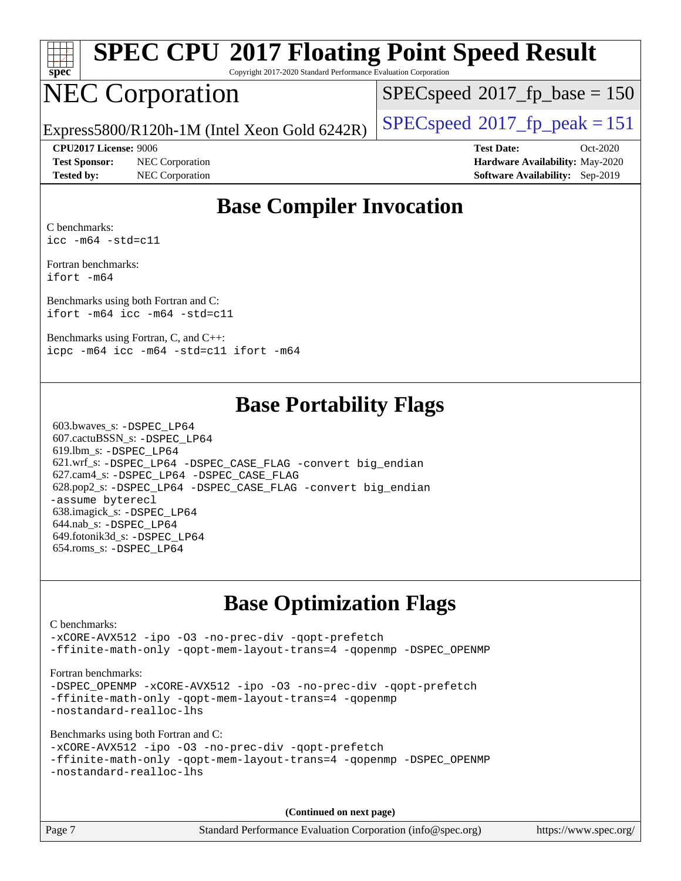| s<br>Æ<br>U<br>Ľ |  |  |  |  |  |  |
|------------------|--|--|--|--|--|--|

# **[SPEC CPU](http://www.spec.org/auto/cpu2017/Docs/result-fields.html#SPECCPU2017FloatingPointSpeedResult)[2017 Floating Point Speed Result](http://www.spec.org/auto/cpu2017/Docs/result-fields.html#SPECCPU2017FloatingPointSpeedResult)**

Copyright 2017-2020 Standard Performance Evaluation Corporation

## NEC Corporation

[SPECspeed](http://www.spec.org/auto/cpu2017/Docs/result-fields.html#SPECspeed2017fpbase)<sup>®</sup>2017 fp base = 150

Express5800/R120h-1M (Intel Xeon Gold 6242R)  $\big|$  [SPECspeed](http://www.spec.org/auto/cpu2017/Docs/result-fields.html#SPECspeed2017fppeak)®[2017\\_fp\\_peak = 1](http://www.spec.org/auto/cpu2017/Docs/result-fields.html#SPECspeed2017fppeak)51

**[Test Sponsor:](http://www.spec.org/auto/cpu2017/Docs/result-fields.html#TestSponsor)** NEC Corporation **[Hardware Availability:](http://www.spec.org/auto/cpu2017/Docs/result-fields.html#HardwareAvailability)** May-2020 **[Tested by:](http://www.spec.org/auto/cpu2017/Docs/result-fields.html#Testedby)** NEC Corporation **[Software Availability:](http://www.spec.org/auto/cpu2017/Docs/result-fields.html#SoftwareAvailability)** Sep-2019

**[CPU2017 License:](http://www.spec.org/auto/cpu2017/Docs/result-fields.html#CPU2017License)** 9006 **[Test Date:](http://www.spec.org/auto/cpu2017/Docs/result-fields.html#TestDate)** Oct-2020

### **[Base Compiler Invocation](http://www.spec.org/auto/cpu2017/Docs/result-fields.html#BaseCompilerInvocation)**

[C benchmarks:](http://www.spec.org/auto/cpu2017/Docs/result-fields.html#Cbenchmarks) [icc -m64 -std=c11](http://www.spec.org/cpu2017/results/res2020q4/cpu2017-20201026-24269.flags.html#user_CCbase_intel_icc_64bit_c11_33ee0cdaae7deeeab2a9725423ba97205ce30f63b9926c2519791662299b76a0318f32ddfffdc46587804de3178b4f9328c46fa7c2b0cd779d7a61945c91cd35)

[Fortran benchmarks](http://www.spec.org/auto/cpu2017/Docs/result-fields.html#Fortranbenchmarks): [ifort -m64](http://www.spec.org/cpu2017/results/res2020q4/cpu2017-20201026-24269.flags.html#user_FCbase_intel_ifort_64bit_24f2bb282fbaeffd6157abe4f878425411749daecae9a33200eee2bee2fe76f3b89351d69a8130dd5949958ce389cf37ff59a95e7a40d588e8d3a57e0c3fd751)

[Benchmarks using both Fortran and C:](http://www.spec.org/auto/cpu2017/Docs/result-fields.html#BenchmarksusingbothFortranandC) [ifort -m64](http://www.spec.org/cpu2017/results/res2020q4/cpu2017-20201026-24269.flags.html#user_CC_FCbase_intel_ifort_64bit_24f2bb282fbaeffd6157abe4f878425411749daecae9a33200eee2bee2fe76f3b89351d69a8130dd5949958ce389cf37ff59a95e7a40d588e8d3a57e0c3fd751) [icc -m64 -std=c11](http://www.spec.org/cpu2017/results/res2020q4/cpu2017-20201026-24269.flags.html#user_CC_FCbase_intel_icc_64bit_c11_33ee0cdaae7deeeab2a9725423ba97205ce30f63b9926c2519791662299b76a0318f32ddfffdc46587804de3178b4f9328c46fa7c2b0cd779d7a61945c91cd35)

[Benchmarks using Fortran, C, and C++:](http://www.spec.org/auto/cpu2017/Docs/result-fields.html#BenchmarksusingFortranCandCXX) [icpc -m64](http://www.spec.org/cpu2017/results/res2020q4/cpu2017-20201026-24269.flags.html#user_CC_CXX_FCbase_intel_icpc_64bit_4ecb2543ae3f1412ef961e0650ca070fec7b7afdcd6ed48761b84423119d1bf6bdf5cad15b44d48e7256388bc77273b966e5eb805aefd121eb22e9299b2ec9d9) [icc -m64 -std=c11](http://www.spec.org/cpu2017/results/res2020q4/cpu2017-20201026-24269.flags.html#user_CC_CXX_FCbase_intel_icc_64bit_c11_33ee0cdaae7deeeab2a9725423ba97205ce30f63b9926c2519791662299b76a0318f32ddfffdc46587804de3178b4f9328c46fa7c2b0cd779d7a61945c91cd35) [ifort -m64](http://www.spec.org/cpu2017/results/res2020q4/cpu2017-20201026-24269.flags.html#user_CC_CXX_FCbase_intel_ifort_64bit_24f2bb282fbaeffd6157abe4f878425411749daecae9a33200eee2bee2fe76f3b89351d69a8130dd5949958ce389cf37ff59a95e7a40d588e8d3a57e0c3fd751)

### **[Base Portability Flags](http://www.spec.org/auto/cpu2017/Docs/result-fields.html#BasePortabilityFlags)**

 603.bwaves\_s: [-DSPEC\\_LP64](http://www.spec.org/cpu2017/results/res2020q4/cpu2017-20201026-24269.flags.html#suite_basePORTABILITY603_bwaves_s_DSPEC_LP64) 607.cactuBSSN\_s: [-DSPEC\\_LP64](http://www.spec.org/cpu2017/results/res2020q4/cpu2017-20201026-24269.flags.html#suite_basePORTABILITY607_cactuBSSN_s_DSPEC_LP64) 619.lbm\_s: [-DSPEC\\_LP64](http://www.spec.org/cpu2017/results/res2020q4/cpu2017-20201026-24269.flags.html#suite_basePORTABILITY619_lbm_s_DSPEC_LP64) 621.wrf\_s: [-DSPEC\\_LP64](http://www.spec.org/cpu2017/results/res2020q4/cpu2017-20201026-24269.flags.html#suite_basePORTABILITY621_wrf_s_DSPEC_LP64) [-DSPEC\\_CASE\\_FLAG](http://www.spec.org/cpu2017/results/res2020q4/cpu2017-20201026-24269.flags.html#b621.wrf_s_baseCPORTABILITY_DSPEC_CASE_FLAG) [-convert big\\_endian](http://www.spec.org/cpu2017/results/res2020q4/cpu2017-20201026-24269.flags.html#user_baseFPORTABILITY621_wrf_s_convert_big_endian_c3194028bc08c63ac5d04de18c48ce6d347e4e562e8892b8bdbdc0214820426deb8554edfa529a3fb25a586e65a3d812c835984020483e7e73212c4d31a38223) 627.cam4\_s: [-DSPEC\\_LP64](http://www.spec.org/cpu2017/results/res2020q4/cpu2017-20201026-24269.flags.html#suite_basePORTABILITY627_cam4_s_DSPEC_LP64) [-DSPEC\\_CASE\\_FLAG](http://www.spec.org/cpu2017/results/res2020q4/cpu2017-20201026-24269.flags.html#b627.cam4_s_baseCPORTABILITY_DSPEC_CASE_FLAG) 628.pop2\_s: [-DSPEC\\_LP64](http://www.spec.org/cpu2017/results/res2020q4/cpu2017-20201026-24269.flags.html#suite_basePORTABILITY628_pop2_s_DSPEC_LP64) [-DSPEC\\_CASE\\_FLAG](http://www.spec.org/cpu2017/results/res2020q4/cpu2017-20201026-24269.flags.html#b628.pop2_s_baseCPORTABILITY_DSPEC_CASE_FLAG) [-convert big\\_endian](http://www.spec.org/cpu2017/results/res2020q4/cpu2017-20201026-24269.flags.html#user_baseFPORTABILITY628_pop2_s_convert_big_endian_c3194028bc08c63ac5d04de18c48ce6d347e4e562e8892b8bdbdc0214820426deb8554edfa529a3fb25a586e65a3d812c835984020483e7e73212c4d31a38223) [-assume byterecl](http://www.spec.org/cpu2017/results/res2020q4/cpu2017-20201026-24269.flags.html#user_baseFPORTABILITY628_pop2_s_assume_byterecl_7e47d18b9513cf18525430bbf0f2177aa9bf368bc7a059c09b2c06a34b53bd3447c950d3f8d6c70e3faf3a05c8557d66a5798b567902e8849adc142926523472) 638.imagick\_s: [-DSPEC\\_LP64](http://www.spec.org/cpu2017/results/res2020q4/cpu2017-20201026-24269.flags.html#suite_basePORTABILITY638_imagick_s_DSPEC_LP64) 644.nab\_s: [-DSPEC\\_LP64](http://www.spec.org/cpu2017/results/res2020q4/cpu2017-20201026-24269.flags.html#suite_basePORTABILITY644_nab_s_DSPEC_LP64) 649.fotonik3d\_s: [-DSPEC\\_LP64](http://www.spec.org/cpu2017/results/res2020q4/cpu2017-20201026-24269.flags.html#suite_basePORTABILITY649_fotonik3d_s_DSPEC_LP64) 654.roms\_s: [-DSPEC\\_LP64](http://www.spec.org/cpu2017/results/res2020q4/cpu2017-20201026-24269.flags.html#suite_basePORTABILITY654_roms_s_DSPEC_LP64)

## **[Base Optimization Flags](http://www.spec.org/auto/cpu2017/Docs/result-fields.html#BaseOptimizationFlags)**

#### [C benchmarks](http://www.spec.org/auto/cpu2017/Docs/result-fields.html#Cbenchmarks): [-xCORE-AVX512](http://www.spec.org/cpu2017/results/res2020q4/cpu2017-20201026-24269.flags.html#user_CCbase_f-xCORE-AVX512) [-ipo](http://www.spec.org/cpu2017/results/res2020q4/cpu2017-20201026-24269.flags.html#user_CCbase_f-ipo) [-O3](http://www.spec.org/cpu2017/results/res2020q4/cpu2017-20201026-24269.flags.html#user_CCbase_f-O3) [-no-prec-div](http://www.spec.org/cpu2017/results/res2020q4/cpu2017-20201026-24269.flags.html#user_CCbase_f-no-prec-div) [-qopt-prefetch](http://www.spec.org/cpu2017/results/res2020q4/cpu2017-20201026-24269.flags.html#user_CCbase_f-qopt-prefetch) [-ffinite-math-only](http://www.spec.org/cpu2017/results/res2020q4/cpu2017-20201026-24269.flags.html#user_CCbase_f_finite_math_only_cb91587bd2077682c4b38af759c288ed7c732db004271a9512da14a4f8007909a5f1427ecbf1a0fb78ff2a814402c6114ac565ca162485bbcae155b5e4258871) [-qopt-mem-layout-trans=4](http://www.spec.org/cpu2017/results/res2020q4/cpu2017-20201026-24269.flags.html#user_CCbase_f-qopt-mem-layout-trans_fa39e755916c150a61361b7846f310bcdf6f04e385ef281cadf3647acec3f0ae266d1a1d22d972a7087a248fd4e6ca390a3634700869573d231a252c784941a8) [-qopenmp](http://www.spec.org/cpu2017/results/res2020q4/cpu2017-20201026-24269.flags.html#user_CCbase_qopenmp_16be0c44f24f464004c6784a7acb94aca937f053568ce72f94b139a11c7c168634a55f6653758ddd83bcf7b8463e8028bb0b48b77bcddc6b78d5d95bb1df2967) [-DSPEC\\_OPENMP](http://www.spec.org/cpu2017/results/res2020q4/cpu2017-20201026-24269.flags.html#suite_CCbase_DSPEC_OPENMP) [Fortran benchmarks](http://www.spec.org/auto/cpu2017/Docs/result-fields.html#Fortranbenchmarks): -DSPEC OPENMP [-xCORE-AVX512](http://www.spec.org/cpu2017/results/res2020q4/cpu2017-20201026-24269.flags.html#user_FCbase_f-xCORE-AVX512) [-ipo](http://www.spec.org/cpu2017/results/res2020q4/cpu2017-20201026-24269.flags.html#user_FCbase_f-ipo) [-O3](http://www.spec.org/cpu2017/results/res2020q4/cpu2017-20201026-24269.flags.html#user_FCbase_f-O3) [-no-prec-div](http://www.spec.org/cpu2017/results/res2020q4/cpu2017-20201026-24269.flags.html#user_FCbase_f-no-prec-div) [-qopt-prefetch](http://www.spec.org/cpu2017/results/res2020q4/cpu2017-20201026-24269.flags.html#user_FCbase_f-qopt-prefetch) [-ffinite-math-only](http://www.spec.org/cpu2017/results/res2020q4/cpu2017-20201026-24269.flags.html#user_FCbase_f_finite_math_only_cb91587bd2077682c4b38af759c288ed7c732db004271a9512da14a4f8007909a5f1427ecbf1a0fb78ff2a814402c6114ac565ca162485bbcae155b5e4258871) [-qopt-mem-layout-trans=4](http://www.spec.org/cpu2017/results/res2020q4/cpu2017-20201026-24269.flags.html#user_FCbase_f-qopt-mem-layout-trans_fa39e755916c150a61361b7846f310bcdf6f04e385ef281cadf3647acec3f0ae266d1a1d22d972a7087a248fd4e6ca390a3634700869573d231a252c784941a8) [-qopenmp](http://www.spec.org/cpu2017/results/res2020q4/cpu2017-20201026-24269.flags.html#user_FCbase_qopenmp_16be0c44f24f464004c6784a7acb94aca937f053568ce72f94b139a11c7c168634a55f6653758ddd83bcf7b8463e8028bb0b48b77bcddc6b78d5d95bb1df2967) [-nostandard-realloc-lhs](http://www.spec.org/cpu2017/results/res2020q4/cpu2017-20201026-24269.flags.html#user_FCbase_f_2003_std_realloc_82b4557e90729c0f113870c07e44d33d6f5a304b4f63d4c15d2d0f1fab99f5daaed73bdb9275d9ae411527f28b936061aa8b9c8f2d63842963b95c9dd6426b8a) [Benchmarks using both Fortran and C](http://www.spec.org/auto/cpu2017/Docs/result-fields.html#BenchmarksusingbothFortranandC): [-xCORE-AVX512](http://www.spec.org/cpu2017/results/res2020q4/cpu2017-20201026-24269.flags.html#user_CC_FCbase_f-xCORE-AVX512) [-ipo](http://www.spec.org/cpu2017/results/res2020q4/cpu2017-20201026-24269.flags.html#user_CC_FCbase_f-ipo) [-O3](http://www.spec.org/cpu2017/results/res2020q4/cpu2017-20201026-24269.flags.html#user_CC_FCbase_f-O3) [-no-prec-div](http://www.spec.org/cpu2017/results/res2020q4/cpu2017-20201026-24269.flags.html#user_CC_FCbase_f-no-prec-div) [-qopt-prefetch](http://www.spec.org/cpu2017/results/res2020q4/cpu2017-20201026-24269.flags.html#user_CC_FCbase_f-qopt-prefetch) [-ffinite-math-only](http://www.spec.org/cpu2017/results/res2020q4/cpu2017-20201026-24269.flags.html#user_CC_FCbase_f_finite_math_only_cb91587bd2077682c4b38af759c288ed7c732db004271a9512da14a4f8007909a5f1427ecbf1a0fb78ff2a814402c6114ac565ca162485bbcae155b5e4258871) [-qopt-mem-layout-trans=4](http://www.spec.org/cpu2017/results/res2020q4/cpu2017-20201026-24269.flags.html#user_CC_FCbase_f-qopt-mem-layout-trans_fa39e755916c150a61361b7846f310bcdf6f04e385ef281cadf3647acec3f0ae266d1a1d22d972a7087a248fd4e6ca390a3634700869573d231a252c784941a8) [-qopenmp](http://www.spec.org/cpu2017/results/res2020q4/cpu2017-20201026-24269.flags.html#user_CC_FCbase_qopenmp_16be0c44f24f464004c6784a7acb94aca937f053568ce72f94b139a11c7c168634a55f6653758ddd83bcf7b8463e8028bb0b48b77bcddc6b78d5d95bb1df2967) [-DSPEC\\_OPENMP](http://www.spec.org/cpu2017/results/res2020q4/cpu2017-20201026-24269.flags.html#suite_CC_FCbase_DSPEC_OPENMP) [-nostandard-realloc-lhs](http://www.spec.org/cpu2017/results/res2020q4/cpu2017-20201026-24269.flags.html#user_CC_FCbase_f_2003_std_realloc_82b4557e90729c0f113870c07e44d33d6f5a304b4f63d4c15d2d0f1fab99f5daaed73bdb9275d9ae411527f28b936061aa8b9c8f2d63842963b95c9dd6426b8a) **(Continued on next page)**

Page 7 Standard Performance Evaluation Corporation [\(info@spec.org\)](mailto:info@spec.org) <https://www.spec.org/>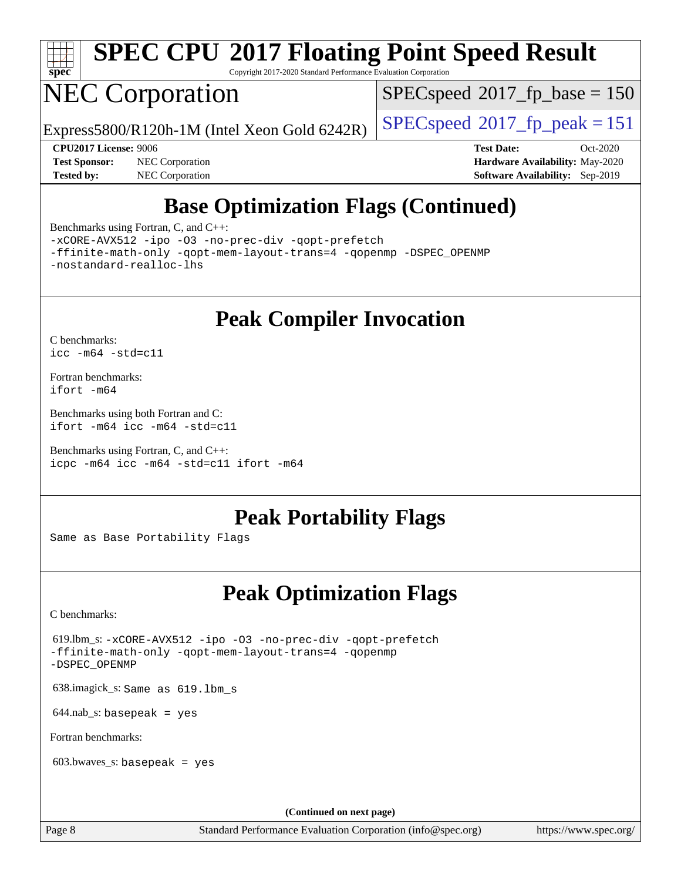

# **[SPEC CPU](http://www.spec.org/auto/cpu2017/Docs/result-fields.html#SPECCPU2017FloatingPointSpeedResult)[2017 Floating Point Speed Result](http://www.spec.org/auto/cpu2017/Docs/result-fields.html#SPECCPU2017FloatingPointSpeedResult)**

Copyright 2017-2020 Standard Performance Evaluation Corporation

## NEC Corporation

[SPECspeed](http://www.spec.org/auto/cpu2017/Docs/result-fields.html#SPECspeed2017fpbase)<sup>®</sup>2017 fp base = 150

Express5800/R120h-1M (Intel Xeon Gold 6242R)  $\big|$  [SPECspeed](http://www.spec.org/auto/cpu2017/Docs/result-fields.html#SPECspeed2017fppeak)®[2017\\_fp\\_peak = 1](http://www.spec.org/auto/cpu2017/Docs/result-fields.html#SPECspeed2017fppeak)51

**[Tested by:](http://www.spec.org/auto/cpu2017/Docs/result-fields.html#Testedby)** NEC Corporation **[Software Availability:](http://www.spec.org/auto/cpu2017/Docs/result-fields.html#SoftwareAvailability)** Sep-2019

**[CPU2017 License:](http://www.spec.org/auto/cpu2017/Docs/result-fields.html#CPU2017License)** 9006 **[Test Date:](http://www.spec.org/auto/cpu2017/Docs/result-fields.html#TestDate)** Oct-2020 **[Test Sponsor:](http://www.spec.org/auto/cpu2017/Docs/result-fields.html#TestSponsor)** NEC Corporation **[Hardware Availability:](http://www.spec.org/auto/cpu2017/Docs/result-fields.html#HardwareAvailability)** May-2020

## **[Base Optimization Flags \(Continued\)](http://www.spec.org/auto/cpu2017/Docs/result-fields.html#BaseOptimizationFlags)**

[Benchmarks using Fortran, C, and C++:](http://www.spec.org/auto/cpu2017/Docs/result-fields.html#BenchmarksusingFortranCandCXX)

[-xCORE-AVX512](http://www.spec.org/cpu2017/results/res2020q4/cpu2017-20201026-24269.flags.html#user_CC_CXX_FCbase_f-xCORE-AVX512) [-ipo](http://www.spec.org/cpu2017/results/res2020q4/cpu2017-20201026-24269.flags.html#user_CC_CXX_FCbase_f-ipo) [-O3](http://www.spec.org/cpu2017/results/res2020q4/cpu2017-20201026-24269.flags.html#user_CC_CXX_FCbase_f-O3) [-no-prec-div](http://www.spec.org/cpu2017/results/res2020q4/cpu2017-20201026-24269.flags.html#user_CC_CXX_FCbase_f-no-prec-div) [-qopt-prefetch](http://www.spec.org/cpu2017/results/res2020q4/cpu2017-20201026-24269.flags.html#user_CC_CXX_FCbase_f-qopt-prefetch)

[-ffinite-math-only](http://www.spec.org/cpu2017/results/res2020q4/cpu2017-20201026-24269.flags.html#user_CC_CXX_FCbase_f_finite_math_only_cb91587bd2077682c4b38af759c288ed7c732db004271a9512da14a4f8007909a5f1427ecbf1a0fb78ff2a814402c6114ac565ca162485bbcae155b5e4258871) [-qopt-mem-layout-trans=4](http://www.spec.org/cpu2017/results/res2020q4/cpu2017-20201026-24269.flags.html#user_CC_CXX_FCbase_f-qopt-mem-layout-trans_fa39e755916c150a61361b7846f310bcdf6f04e385ef281cadf3647acec3f0ae266d1a1d22d972a7087a248fd4e6ca390a3634700869573d231a252c784941a8) [-qopenmp](http://www.spec.org/cpu2017/results/res2020q4/cpu2017-20201026-24269.flags.html#user_CC_CXX_FCbase_qopenmp_16be0c44f24f464004c6784a7acb94aca937f053568ce72f94b139a11c7c168634a55f6653758ddd83bcf7b8463e8028bb0b48b77bcddc6b78d5d95bb1df2967) [-DSPEC\\_OPENMP](http://www.spec.org/cpu2017/results/res2020q4/cpu2017-20201026-24269.flags.html#suite_CC_CXX_FCbase_DSPEC_OPENMP) [-nostandard-realloc-lhs](http://www.spec.org/cpu2017/results/res2020q4/cpu2017-20201026-24269.flags.html#user_CC_CXX_FCbase_f_2003_std_realloc_82b4557e90729c0f113870c07e44d33d6f5a304b4f63d4c15d2d0f1fab99f5daaed73bdb9275d9ae411527f28b936061aa8b9c8f2d63842963b95c9dd6426b8a)

## **[Peak Compiler Invocation](http://www.spec.org/auto/cpu2017/Docs/result-fields.html#PeakCompilerInvocation)**

[C benchmarks](http://www.spec.org/auto/cpu2017/Docs/result-fields.html#Cbenchmarks): [icc -m64 -std=c11](http://www.spec.org/cpu2017/results/res2020q4/cpu2017-20201026-24269.flags.html#user_CCpeak_intel_icc_64bit_c11_33ee0cdaae7deeeab2a9725423ba97205ce30f63b9926c2519791662299b76a0318f32ddfffdc46587804de3178b4f9328c46fa7c2b0cd779d7a61945c91cd35)

[Fortran benchmarks](http://www.spec.org/auto/cpu2017/Docs/result-fields.html#Fortranbenchmarks): [ifort -m64](http://www.spec.org/cpu2017/results/res2020q4/cpu2017-20201026-24269.flags.html#user_FCpeak_intel_ifort_64bit_24f2bb282fbaeffd6157abe4f878425411749daecae9a33200eee2bee2fe76f3b89351d69a8130dd5949958ce389cf37ff59a95e7a40d588e8d3a57e0c3fd751)

[Benchmarks using both Fortran and C](http://www.spec.org/auto/cpu2017/Docs/result-fields.html#BenchmarksusingbothFortranandC): [ifort -m64](http://www.spec.org/cpu2017/results/res2020q4/cpu2017-20201026-24269.flags.html#user_CC_FCpeak_intel_ifort_64bit_24f2bb282fbaeffd6157abe4f878425411749daecae9a33200eee2bee2fe76f3b89351d69a8130dd5949958ce389cf37ff59a95e7a40d588e8d3a57e0c3fd751) [icc -m64 -std=c11](http://www.spec.org/cpu2017/results/res2020q4/cpu2017-20201026-24269.flags.html#user_CC_FCpeak_intel_icc_64bit_c11_33ee0cdaae7deeeab2a9725423ba97205ce30f63b9926c2519791662299b76a0318f32ddfffdc46587804de3178b4f9328c46fa7c2b0cd779d7a61945c91cd35)

[Benchmarks using Fortran, C, and C++:](http://www.spec.org/auto/cpu2017/Docs/result-fields.html#BenchmarksusingFortranCandCXX) [icpc -m64](http://www.spec.org/cpu2017/results/res2020q4/cpu2017-20201026-24269.flags.html#user_CC_CXX_FCpeak_intel_icpc_64bit_4ecb2543ae3f1412ef961e0650ca070fec7b7afdcd6ed48761b84423119d1bf6bdf5cad15b44d48e7256388bc77273b966e5eb805aefd121eb22e9299b2ec9d9) [icc -m64 -std=c11](http://www.spec.org/cpu2017/results/res2020q4/cpu2017-20201026-24269.flags.html#user_CC_CXX_FCpeak_intel_icc_64bit_c11_33ee0cdaae7deeeab2a9725423ba97205ce30f63b9926c2519791662299b76a0318f32ddfffdc46587804de3178b4f9328c46fa7c2b0cd779d7a61945c91cd35) [ifort -m64](http://www.spec.org/cpu2017/results/res2020q4/cpu2017-20201026-24269.flags.html#user_CC_CXX_FCpeak_intel_ifort_64bit_24f2bb282fbaeffd6157abe4f878425411749daecae9a33200eee2bee2fe76f3b89351d69a8130dd5949958ce389cf37ff59a95e7a40d588e8d3a57e0c3fd751)

## **[Peak Portability Flags](http://www.spec.org/auto/cpu2017/Docs/result-fields.html#PeakPortabilityFlags)**

Same as Base Portability Flags

## **[Peak Optimization Flags](http://www.spec.org/auto/cpu2017/Docs/result-fields.html#PeakOptimizationFlags)**

[C benchmarks](http://www.spec.org/auto/cpu2017/Docs/result-fields.html#Cbenchmarks):

 619.lbm\_s: [-xCORE-AVX512](http://www.spec.org/cpu2017/results/res2020q4/cpu2017-20201026-24269.flags.html#user_peakCOPTIMIZE619_lbm_s_f-xCORE-AVX512) [-ipo](http://www.spec.org/cpu2017/results/res2020q4/cpu2017-20201026-24269.flags.html#user_peakCOPTIMIZE619_lbm_s_f-ipo) [-O3](http://www.spec.org/cpu2017/results/res2020q4/cpu2017-20201026-24269.flags.html#user_peakCOPTIMIZE619_lbm_s_f-O3) [-no-prec-div](http://www.spec.org/cpu2017/results/res2020q4/cpu2017-20201026-24269.flags.html#user_peakCOPTIMIZE619_lbm_s_f-no-prec-div) [-qopt-prefetch](http://www.spec.org/cpu2017/results/res2020q4/cpu2017-20201026-24269.flags.html#user_peakCOPTIMIZE619_lbm_s_f-qopt-prefetch) [-ffinite-math-only](http://www.spec.org/cpu2017/results/res2020q4/cpu2017-20201026-24269.flags.html#user_peakCOPTIMIZE619_lbm_s_f_finite_math_only_cb91587bd2077682c4b38af759c288ed7c732db004271a9512da14a4f8007909a5f1427ecbf1a0fb78ff2a814402c6114ac565ca162485bbcae155b5e4258871) [-qopt-mem-layout-trans=4](http://www.spec.org/cpu2017/results/res2020q4/cpu2017-20201026-24269.flags.html#user_peakCOPTIMIZE619_lbm_s_f-qopt-mem-layout-trans_fa39e755916c150a61361b7846f310bcdf6f04e385ef281cadf3647acec3f0ae266d1a1d22d972a7087a248fd4e6ca390a3634700869573d231a252c784941a8) [-qopenmp](http://www.spec.org/cpu2017/results/res2020q4/cpu2017-20201026-24269.flags.html#user_peakCOPTIMIZE619_lbm_s_qopenmp_16be0c44f24f464004c6784a7acb94aca937f053568ce72f94b139a11c7c168634a55f6653758ddd83bcf7b8463e8028bb0b48b77bcddc6b78d5d95bb1df2967) [-DSPEC\\_OPENMP](http://www.spec.org/cpu2017/results/res2020q4/cpu2017-20201026-24269.flags.html#suite_peakCOPTIMIZE619_lbm_s_DSPEC_OPENMP)

638.imagick\_s: Same as 619.lbm\_s

 $644$ .nab\_s: basepeak = yes

[Fortran benchmarks](http://www.spec.org/auto/cpu2017/Docs/result-fields.html#Fortranbenchmarks):

603.bwaves\_s: basepeak = yes

**(Continued on next page)**

Page 8 Standard Performance Evaluation Corporation [\(info@spec.org\)](mailto:info@spec.org) <https://www.spec.org/>